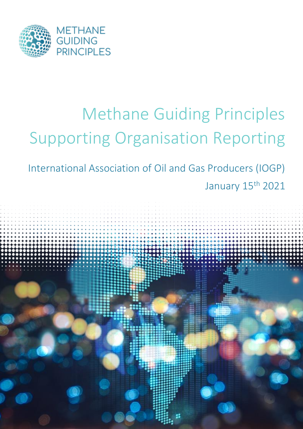

# Methane Guiding Principles Supporting Organisation Reporting

International Association of Oil and Gas Producers (IOGP) January 15<sup>th</sup> 2021

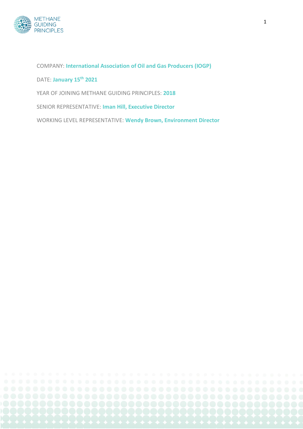

COMPANY: **International Association of Oil and Gas Producers (IOGP)** DATE: **January 15th 2021** YEAR OF JOINING METHANE GUIDING PRINCIPLES: **2018** SENIOR REPRESENTATIVE: **Iman Hill, Executive Director**

WORKING LEVEL REPRESENTATIVE: **Wendy Brown, Environment Director**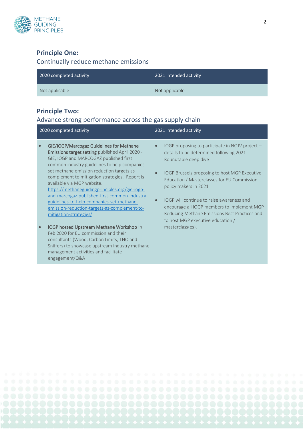

## **Principle One:**

# Continually reduce methane emissions

| 2020 completed activity | 2021 intended activity |
|-------------------------|------------------------|
| Not applicable          | Not applicable         |

## **Principle Two:**

# Advance strong performance across the gas supply chain

| 2021 intended activity                                                                                                                                                                                                                                                                                                                                                                                                                                                                     |
|--------------------------------------------------------------------------------------------------------------------------------------------------------------------------------------------------------------------------------------------------------------------------------------------------------------------------------------------------------------------------------------------------------------------------------------------------------------------------------------------|
| IOGP proposing to participate in NOJV project $-$<br>$\bullet$<br>details to be determined following 2021<br>Roundtable deep dive<br>IOGP Brussels proposing to host MGP Executive<br>$\bullet$<br>Education / Masterclasses for EU Commission<br>policy makers in 2021<br>IOGP will continue to raise awareness and<br>$\bullet$<br>encourage all IOGP members to implement MGP<br>Reducing Methane Emissions Best Practices and<br>to host MGP executive education /<br>masterclass(es). |
|                                                                                                                                                                                                                                                                                                                                                                                                                                                                                            |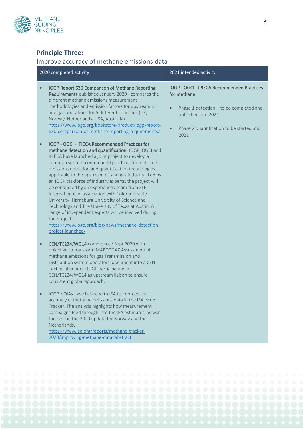

# **Principle Three:**

# Improve accuracy of methane emissions data

| 2020 completed activity                                                                                                                                                                                                                                                                                                                                                                                                                                                                                                                                                                                                                                                                                      | 2021 intended activity                                                                                                                                                                                   |
|--------------------------------------------------------------------------------------------------------------------------------------------------------------------------------------------------------------------------------------------------------------------------------------------------------------------------------------------------------------------------------------------------------------------------------------------------------------------------------------------------------------------------------------------------------------------------------------------------------------------------------------------------------------------------------------------------------------|----------------------------------------------------------------------------------------------------------------------------------------------------------------------------------------------------------|
| IOGP Report 630 Comparison of Methane Reporting<br>$\qquad \qquad \bullet$<br>Requirements published January 2020 - compares the<br>different methane emissions measurement<br>methodologies and emission factors for upstream oil<br>and gas operations for 5 different countries (UK,<br>Norway, Netherlands, USA, Australia)<br>https://www.iogp.org/bookstore/product/iogp-report-<br>630-comparison-of-methane-reporting-requirements/<br>IOGP - OGCI - IPIECA Recommended Practices for<br>$\bullet$                                                                                                                                                                                                   | IOGP - OGCI - IPIECA Recommended Practices<br>for methane<br>Phase 1 detection - to be completed and<br>$\bullet$<br>published mid 2021<br>Phase 2 quantification to be started mid<br>$\bullet$<br>2021 |
| methane detection and quantification: IOGP, OGCI and<br>IPIECA have launched a joint project to develop a<br>common set of recommended practices for methane<br>emissions detection and quantification technologies,<br>applicable to the upstream oil and gas industry. Led by<br>an IOGP taskforce of industry experts, the project will<br>be conducted by an experienced team from SLR<br>International, in association with Colorado State<br>University, Harrisburg University of Science and<br>Technology and The University of Texas at Austin. A<br>range of independent experts will be involved during<br>the project.<br>https://www.iogp.org/blog/news/methane-detection-<br>project-launched/ |                                                                                                                                                                                                          |
| CEN/TC234/WG14 commenced Sept 2020 with<br>$\bullet$<br>objective to transform MARCOGAZ Assessment of<br>methane emissions for gas Transmission and<br>Distribution system operators' document into a CEN<br>Technical Report - IOGP participating in<br>CEN/TC234/WG14 as upstream liaison to ensure<br>consistent global approach.                                                                                                                                                                                                                                                                                                                                                                         |                                                                                                                                                                                                          |
| IOGP NOIAs have liaised with IEA to improve the<br>accuracy of methane emissions data in the IEA Issue<br>Tracker. The analysis highlights how measurement<br>campaigns feed through into the IEA estimates, as was<br>the case in the 2020 update for Norway and the<br>Netherlands.<br>https://www.iea.org/reports/methane-tracker-<br>2020/improving-methane-data#abstract                                                                                                                                                                                                                                                                                                                                |                                                                                                                                                                                                          |